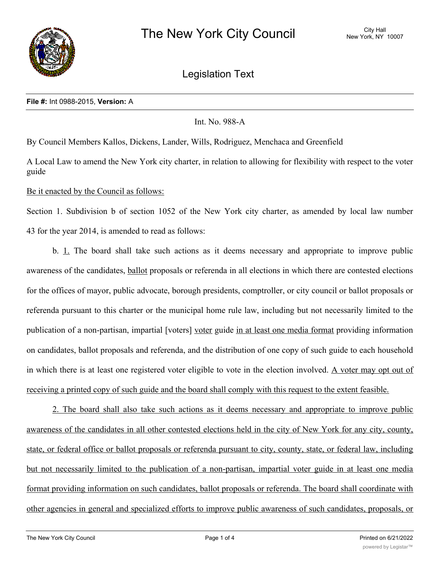

Legislation Text

#### **File #:** Int 0988-2015, **Version:** A

# Int. No. 988-A

By Council Members Kallos, Dickens, Lander, Wills, Rodriguez, Menchaca and Greenfield

A Local Law to amend the New York city charter, in relation to allowing for flexibility with respect to the voter guide

Be it enacted by the Council as follows:

Section 1. Subdivision b of section 1052 of the New York city charter, as amended by local law number 43 for the year 2014, is amended to read as follows:

b. 1. The board shall take such actions as it deems necessary and appropriate to improve public awareness of the candidates, ballot proposals or referenda in all elections in which there are contested elections for the offices of mayor, public advocate, borough presidents, comptroller, or city council or ballot proposals or referenda pursuant to this charter or the municipal home rule law, including but not necessarily limited to the publication of a non-partisan, impartial [voters] voter guide in at least one media format providing information on candidates, ballot proposals and referenda, and the distribution of one copy of such guide to each household in which there is at least one registered voter eligible to vote in the election involved. A voter may opt out of receiving a printed copy of such guide and the board shall comply with this request to the extent feasible.

2. The board shall also take such actions as it deems necessary and appropriate to improve public awareness of the candidates in all other contested elections held in the city of New York for any city, county, state, or federal office or ballot proposals or referenda pursuant to city, county, state, or federal law, including but not necessarily limited to the publication of a non-partisan, impartial voter guide in at least one media format providing information on such candidates, ballot proposals or referenda. The board shall coordinate with other agencies in general and specialized efforts to improve public awareness of such candidates, proposals, or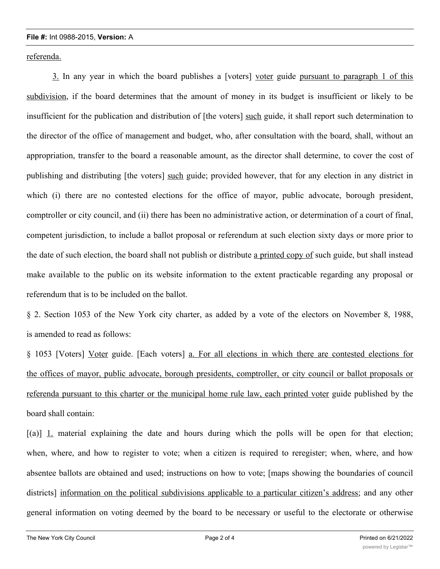### **File #:** Int 0988-2015, **Version:** A

referenda.

3. In any year in which the board publishes a [voters] voter guide pursuant to paragraph 1 of this subdivision, if the board determines that the amount of money in its budget is insufficient or likely to be insufficient for the publication and distribution of [the voters] such guide, it shall report such determination to the director of the office of management and budget, who, after consultation with the board, shall, without an appropriation, transfer to the board a reasonable amount, as the director shall determine, to cover the cost of publishing and distributing [the voters] such guide; provided however, that for any election in any district in which (i) there are no contested elections for the office of mayor, public advocate, borough president, comptroller or city council, and (ii) there has been no administrative action, or determination of a court of final, competent jurisdiction, to include a ballot proposal or referendum at such election sixty days or more prior to the date of such election, the board shall not publish or distribute a printed copy of such guide, but shall instead make available to the public on its website information to the extent practicable regarding any proposal or referendum that is to be included on the ballot.

§ 2. Section 1053 of the New York city charter, as added by a vote of the electors on November 8, 1988, is amended to read as follows:

§ 1053 [Voters] Voter guide. [Each voters] a. For all elections in which there are contested elections for the offices of mayor, public advocate, borough presidents, comptroller, or city council or ballot proposals or referenda pursuant to this charter or the municipal home rule law, each printed voter guide published by the board shall contain:

[(a)] 1. material explaining the date and hours during which the polls will be open for that election; when, where, and how to register to vote; when a citizen is required to reregister; when, where, and how absentee ballots are obtained and used; instructions on how to vote; [maps showing the boundaries of council districts] information on the political subdivisions applicable to a particular citizen's address; and any other general information on voting deemed by the board to be necessary or useful to the electorate or otherwise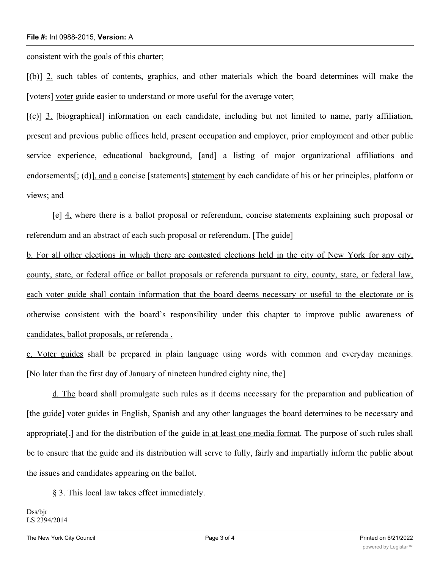## **File #:** Int 0988-2015, **Version:** A

consistent with the goals of this charter;

[(b)] 2. such tables of contents, graphics, and other materials which the board determines will make the [voters] voter guide easier to understand or more useful for the average voter;

[(c)] 3. [biographical] information on each candidate, including but not limited to name, party affiliation, present and previous public offices held, present occupation and employer, prior employment and other public service experience, educational background, [and] a listing of major organizational affiliations and endorsements[; (d)], and a concise [statements] statement by each candidate of his or her principles, platform or views; and

[e] 4. where there is a ballot proposal or referendum, concise statements explaining such proposal or referendum and an abstract of each such proposal or referendum. [The guide]

b. For all other elections in which there are contested elections held in the city of New York for any city, county, state, or federal office or ballot proposals or referenda pursuant to city, county, state, or federal law, each voter guide shall contain information that the board deems necessary or useful to the electorate or is otherwise consistent with the board's responsibility under this chapter to improve public awareness of candidates, ballot proposals, or referenda .

c. Voter guides shall be prepared in plain language using words with common and everyday meanings. [No later than the first day of January of nineteen hundred eighty nine, the]

d. The board shall promulgate such rules as it deems necessary for the preparation and publication of [the guide] voter guides in English, Spanish and any other languages the board determines to be necessary and appropriate[,] and for the distribution of the guide in at least one media format. The purpose of such rules shall be to ensure that the guide and its distribution will serve to fully, fairly and impartially inform the public about the issues and candidates appearing on the ballot.

§ 3. This local law takes effect immediately.